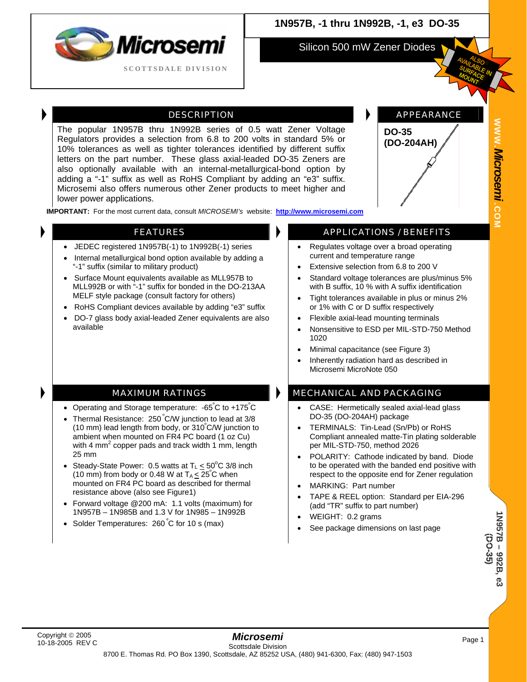

# **1N957B, -1 thru 1N992B, -1, e3 DO-35**

Silicon 500 mW Zener Diodes

The popular 1N957B thru 1N992B series of 0.5 watt Zener Voltage Regulators provides a selection from 6.8 to 200 volts in standard 5% or 10% tolerances as well as tighter tolerances identified by different suffix letters on the part number. These glass axial-leaded DO-35 Zeners are also optionally available with an internal-metallurgical-bond option by adding a "-1" suffix as well as RoHS Compliant by adding an "e3" suffix. Microsemi also offers numerous other Zener products to meet higher and lower power applications.

DESCRIPTION **APPEARANCE** 



**WWW.**

*Microsemi .*

**COM**

**IMPORTANT:** For the most current data, consult *MICROSEMI's* website: **[http://www.microsemi.com](http://www.microsemi.com/)**

- JEDEC registered 1N957B(-1) to 1N992B(-1) series
- Internal metallurgical bond option available by adding a "-1" suffix (similar to military product)
- Surface Mount equivalents available as MLL957B to MLL992B or with "-1" suffix for bonded in the DO-213AA MELF style package (consult factory for others)
- RoHS Compliant devices available by adding "e3" suffix
- DO-7 glass body axial-leaded Zener equivalents are also available

• Operating and Storage temperature: -65°C to +175°C • Thermal Resistance: 250°C/W junction to lead at 3/8 (10 mm) lead length from body, or 310º C/W junction to ambient when mounted on FR4 PC board (1 oz Cu) with 4 mm<sup>2</sup> copper pads and track width 1 mm, length

• Steady-State Power: 0.5 watts at  $T_L \leq 50^{\circ}$ C 3/8 inch (10 mm) from body or 0.48 W at  $T_A \leq 25^\circ C$  when mounted on FR4 PC board as described for thermal

• Forward voltage @200 mA: 1.1 volts (maximum) for 1N957B – 1N985B and 1.3 V for 1N985 – 1N992B

resistance above (also see Figure1)

• Solder Temperatures: 260°C for 10 s (max)

#### FEATURES **APPLICATIONS** / BENEFITS

- Regulates voltage over a broad operating current and temperature range
- Extensive selection from 6.8 to 200 V
- Standard voltage tolerances are plus/minus 5% with B suffix, 10 % with A suffix identification
- Tight tolerances available in plus or minus 2% or 1% with C or D suffix respectively
- Flexible axial-lead mounting terminals
- Nonsensitive to ESD per MIL-STD-750 Method 1020
- Minimal capacitance (see Figure 3)
- Inherently radiation hard as described in Microsemi MicroNote 050

### MAXIMUM RATINGS **MECHANICAL AND PACKAGING**

- CASE: Hermetically sealed axial-lead glass DO-35 (DO-204AH) package
- TERMINALS: Tin-Lead (Sn/Pb) or RoHS Compliant annealed matte-Tin plating solderable per MIL-STD-750, method 2026
- POLARITY: Cathode indicated by band. Diode to be operated with the banded end positive with respect to the opposite end for Zener regulation
- MARKING: Part number
- TAPE & REEL option: Standard per EIA-296 (add "TR" suffix to part number)
- WEIGHT: 0.2 grams
- See package dimensions on last page

25 mm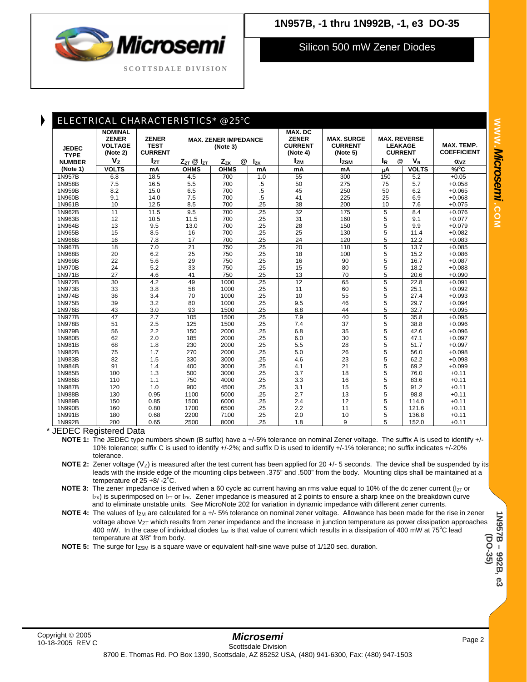

Silicon 500 mW Zener Diodes

| <b>JEDEC</b><br><b>TYPE</b><br><b>NUMBER</b> | <b>NOMINAL</b><br><b>ZENER</b><br><b>VOLTAGE</b><br>(Note 2)<br>V <sub>z</sub> | <b>ZENER</b><br><b>TEST</b><br><b>CURRENT</b><br>$I_{ZT}$ | <b>MAX. ZENER IMPEDANCE</b><br>(Note 3) |               |          | MAX. DC<br><b>ZENER</b><br><b>CURRENT</b><br>(Note 4) | <b>MAX. SURGE</b><br><b>CURRENT</b><br>(Note 5) | <b>MAX. REVERSE</b><br><b>LEAKAGE</b><br><b>CURRENT</b> |              | MAX. TEMP.<br><b>COEFFICIENT</b> |
|----------------------------------------------|--------------------------------------------------------------------------------|-----------------------------------------------------------|-----------------------------------------|---------------|----------|-------------------------------------------------------|-------------------------------------------------|---------------------------------------------------------|--------------|----------------------------------|
|                                              |                                                                                |                                                           | $Z_{ZT}$ $@$ $I_{ZT}$                   | $Z_{ZK}$<br>@ | $I_{ZK}$ | <b>Izm</b>                                            | $I_{ZSM}$                                       | $^{\circledR}$<br>$I_R$                                 | $V_{R}$      | $\alpha$ <sub>VZ</sub>           |
| (Note 1)                                     | <b>VOLTS</b>                                                                   | mA                                                        | <b>OHMS</b>                             | <b>OHMS</b>   | mA       | mA                                                    | mA                                              | μA                                                      | <b>VOLTS</b> | %/°C                             |
| 1N957B                                       | 6.8                                                                            | 18.5                                                      | 4.5                                     | 700           | 1.0      | 55                                                    | 300                                             | 150                                                     | 5.2          | $+0.05$                          |
| 1N958B                                       | 7.5                                                                            | 16.5                                                      | 5.5                                     | 700           | .5       | 50                                                    | 275                                             | 75                                                      | 5.7          | $+0.058$                         |
| 1N959B                                       | 8.2                                                                            | 15.0                                                      | 6.5                                     | 700           | $.5\,$   | 45                                                    | 250                                             | 50                                                      | 6.2          | $+0.065$                         |
| 1N960B                                       | 9.1                                                                            | 14.0                                                      | 7.5                                     | 700           | .5       | 41                                                    | 225                                             | 25                                                      | 6.9          | $+0.068$                         |
| 1N961B                                       | 10                                                                             | 12.5                                                      | 8.5                                     | 700           | .25      | 38                                                    | 200                                             | 10                                                      | 7.6          | $+0.075$                         |
| 1N962B                                       | 11                                                                             | 11.5                                                      | 9.5                                     | 700           | .25      | 32                                                    | 175                                             | 5                                                       | 8.4          | $+0.076$                         |
| 1N963B                                       | 12                                                                             | 10.5                                                      | 11.5                                    | 700           | .25      | 31                                                    | 160                                             | 5                                                       | 9.1          | $+0.077$                         |
| 1N964B                                       | 13                                                                             | 9.5                                                       | 13.0                                    | 700           | .25      | 28                                                    | 150                                             | 5                                                       | 9.9          | $+0.079$                         |
| 1N965B                                       | 15                                                                             | 8.5                                                       | 16                                      | 700           | .25      | 25                                                    | 130                                             | 5                                                       | 11.4         | $+0.082$                         |
| 1N966B                                       | 16                                                                             | 7.8                                                       | 17                                      | 700           | .25      | 24                                                    | 120                                             | 5                                                       | 12.2         | $+0.083$                         |
| 1N967B                                       | 18                                                                             | 7.0                                                       | $\overline{21}$                         | 750           | .25      | $\overline{20}$                                       | 110                                             | 5                                                       | 13.7         | $+0.085$                         |
| 1N968B                                       | 20                                                                             | 6.2                                                       | 25                                      | 750           | .25      | 18                                                    | 100                                             | 5                                                       | 15.2         | $+0.086$                         |
| 1N969B                                       | 22                                                                             | 5.6                                                       | 29                                      | 750           | .25      | 16                                                    | 90                                              | 5                                                       | 16.7         | $+0.087$                         |
| 1N970B                                       | 24                                                                             | 5.2                                                       | 33                                      | 750           | .25      | 15                                                    | 80                                              | 5                                                       | 18.2         | $+0.088$                         |
| 1N971B                                       | 27                                                                             | 4.6                                                       | 41                                      | 750           | .25      | 13                                                    | 70                                              | 5                                                       | 20.6         | $+0.090$                         |
| 1N972B                                       | 30                                                                             | 4.2                                                       | 49                                      | 1000          | .25      | 12                                                    | 65                                              | 5                                                       | 22.8         | $+0.091$                         |
| 1N973B                                       | 33                                                                             | 3.8                                                       | 58                                      | 1000          | .25      | 11                                                    | 60                                              | 5                                                       | 25.1         | $+0.092$                         |
| 1N974B                                       | 36                                                                             | 3.4                                                       | 70                                      | 1000          | .25      | 10                                                    | 55                                              | 5                                                       | 27.4         | $+0.093$                         |
| 1N975B                                       | 39                                                                             | 3.2                                                       | 80                                      | 1000          | .25      | 9.5                                                   | 46                                              | 5                                                       | 29.7         | $+0.094$                         |
| 1N976B                                       | 43                                                                             | 3.0                                                       | 93                                      | 1500          | .25      | 8.8                                                   | 44                                              | 5                                                       | 32.7         | $+0.095$                         |
| 1N977B                                       | 47                                                                             | $\overline{2.7}$                                          | 105                                     | 1500          | .25      | 7.9                                                   | 40                                              | 5                                                       | 35.8         | $+0.095$                         |
| 1N978B                                       | 51                                                                             | 2.5                                                       | 125                                     | 1500          | .25      | 7.4                                                   | 37                                              | 5                                                       | 38.8         | $+0.096$                         |
| 1N979B                                       | 56                                                                             | 2.2                                                       | 150                                     | 2000          | .25      | 6.8                                                   | 35                                              | 5                                                       | 42.6         | $+0.096$                         |
| 1N980B                                       | 62                                                                             | 2.0                                                       | 185                                     | 2000          | .25      | 6.0                                                   | 30                                              | 5                                                       | 47.1         | $+0.097$                         |
| 1N981B                                       | 68                                                                             | 1.8                                                       | 230                                     | 2000          | .25      | 5.5                                                   | 28                                              | 5                                                       | 51.7         | $+0.097$                         |
| 1N982B                                       | $\overline{75}$                                                                | 1.7                                                       | 270                                     | 2000          | .25      | 5.0                                                   | 26                                              | 5                                                       | 56.0         | $+0.098$                         |
| 1N983B                                       | 82                                                                             | 1.5                                                       | 330                                     | 3000          | .25      | 4.6                                                   | 23                                              | 5                                                       | 62.2         | $+0.098$                         |
| 1N984B                                       | 91                                                                             | 1.4                                                       | 400                                     | 3000          | .25      | 4.1                                                   | 21                                              | 5                                                       | 69.2         | $+0.099$                         |
| 1N985B                                       | 100                                                                            | 1.3                                                       | 500                                     | 3000          | .25      | 3.7                                                   | 18                                              | 5                                                       | 76.0         | $+0.11$                          |
| 1N986B                                       | 110                                                                            | 1.1                                                       | 750                                     | 4000          | .25      | 3.3                                                   | 16                                              | 5                                                       | 83.6         | $+0.11$                          |
| 1N987B                                       | 120                                                                            | 1.0                                                       | 900                                     | 4500          | .25      | 3.1                                                   | 15                                              | 5                                                       | 91.2         | $+0.11$                          |
| 1N988B                                       | 130                                                                            | 0.95                                                      | 1100                                    | 5000          | .25      | 2.7                                                   | 13                                              | 5                                                       | 98.8         | $+0.11$                          |
| 1N989B                                       | 150                                                                            | 0.85                                                      | 1500                                    | 6000          | .25      | 2.4                                                   | 12                                              | 5                                                       | 114.0        | $+0.11$                          |
| 1N990B                                       | 160                                                                            | 0.80                                                      | 1700                                    | 6500          | .25      | 2.2                                                   | 11                                              | 5                                                       | 121.6        | $+0.11$                          |
| 1N991B                                       | 180                                                                            | 0.68                                                      | 2200                                    | 7100          | .25      | 2.0                                                   | 10                                              | 5                                                       | 136.8        | $+0.11$                          |
| 1N992B                                       | 200                                                                            | 0.65                                                      | 2500                                    | 8000          | .25      | 1.8                                                   | 9                                               | 5                                                       | 152.0        | $+0.11$                          |
|                                              |                                                                                |                                                           |                                         |               |          |                                                       |                                                 |                                                         |              |                                  |

\* JEDEC Registered Data

**NOTE 1:** The JEDEC type numbers shown (B suffix) have a +/-5% tolerance on nominal Zener voltage. The suffix A is used to identify +/- 10% tolerance; suffix C is used to identify +/-2%; and suffix D is used to identify +/-1% tolerance; no suffix indicates +/-20% tolerance.

**NOTE 2:** Zener voltage (V<sub>Z</sub>) is measured after the test current has been applied for 20 +/- 5 seconds. The device shall be suspended by its leads with the inside edge of the mounting clips between .375" and .500" from the body. Mounting clips shall be maintained at a temperature of  $25 + 8/2^{\circ}C$ .

**NOTE 3:** The zener impedance is derived when a 60 cycle ac current having an rms value equal to 10% of the dc zener current ( $I_{ZT}$  or I<sub>ZK</sub>) is superimposed on I<sub>ZT</sub> or I<sub>ZK</sub>. Zener impedance is measured at 2 points to ensure a sharp knee on the breakdown curve and to eliminate unstable units. See MicroNote 202 for variation in dynamic impedance with different zener currents.

**NOTE 4:** The values of  $I_{ZM}$  are calculated for a +/- 5% tolerance on nominal zener voltage. Allowance has been made for the rise in zener voltage above  $V_{ZT}$  which results from zener impedance and the increase in junction temperature as power dissipation approaches 400 mW. In the case of individual diodes  $I_{ZM}$  is that value of current which results in a dissipation of 400 mW at 75°C lead temperature at 3/8" from body.

**NOTE 5:** The surge for  $I_{ZSM}$  is a square wave or equivalent half-sine wave pulse of 1/120 sec. duration.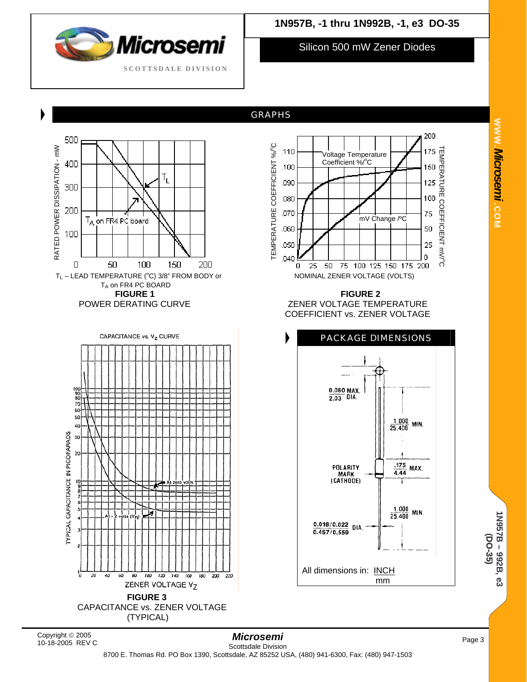

Silicon 500 mW Zener Diodes

### GRAPHS



Copyright © 2005 10-18-2005 REV C

**1N957B – 992B, e3 (DO-35)**

1N957B-992B, e3